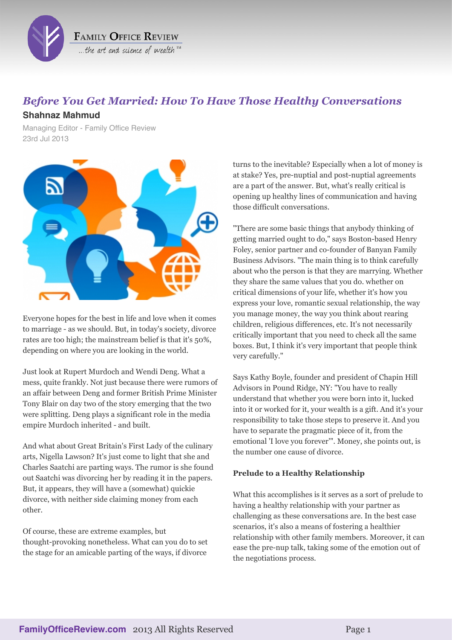

# *Before You Get Married: How To Have Those Healthy Conversations*

## **Shahnaz Mahmud**

Managing Editor - Family Office Review 23rd Jul 2013



Everyone hopes for the best in life and love when it comes to marriage - as we should. But, in today's society, divorce rates are too high; the mainstream belief is that it's 50%, depending on where you are looking in the world.

Just look at Rupert Murdoch and Wendi Deng. What a mess, quite frankly. Not just because there were rumors of an affair between Deng and former British Prime Minister Tony Blair on day two of the story emerging that the two were splitting. Deng plays a significant role in the media empire Murdoch inherited - and built.

And what about Great Britain's First Lady of the culinary arts, Nigella Lawson? It's just come to light that she and Charles Saatchi are parting ways. The rumor is she found out Saatchi was divorcing her by reading it in the papers. But, it appears, they will have a (somewhat) quickie divorce, with neither side claiming money from each other.

Of course, these are extreme examples, but thought-provoking nonetheless. What can you do to set the stage for an amicable parting of the ways, if divorce

turns to the inevitable? Especially when a lot of money is at stake? Yes, pre-nuptial and post-nuptial agreements are a part of the answer. But, what's really critical is opening up healthy lines of communication and having those difficult conversations.

"There are some basic things that anybody thinking of getting married ought to do," says Boston-based Henry Foley, senior partner and co-founder of Banyan Family Business Advisors. "The main thing is to think carefully about who the person is that they are marrying. Whether they share the same values that you do. whether on critical dimensions of your life, whether it's how you express your love, romantic sexual relationship, the way you manage money, the way you think about rearing children, religious differences, etc. It's not necessarily critically important that you need to check all the same boxes. But, I think it's very important that people think very carefully."

Says Kathy Boyle, founder and president of Chapin Hill Advisors in Pound Ridge, NY: "You have to really understand that whether you were born into it, lucked into it or worked for it, your wealth is a gift. And it's your responsibility to take those steps to preserve it. And you have to separate the pragmatic piece of it, from the emotional 'I love you forever'". Money, she points out, is the number one cause of divorce.

### **Prelude to a Healthy Relationship**

What this accomplishes is it serves as a sort of prelude to having a healthy relationship with your partner as challenging as these conversations are. In the best case scenarios, it's also a means of fostering a healthier relationship with other family members. Moreover, it can ease the pre-nup talk, taking some of the emotion out of the negotiations process.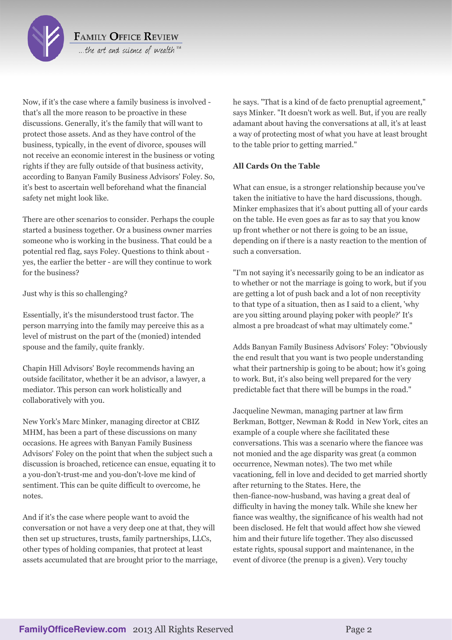

**FAMILY OFFICE REVIEW** ... the art and science of wealth  $\mathbb{R}$ 

Now, if it's the case where a family business is involved that's all the more reason to be proactive in these discussions. Generally, it's the family that will want to protect those assets. And as they have control of the business, typically, in the event of divorce, spouses will not receive an economic interest in the business or voting rights if they are fully outside of that business activity, according to Banyan Family Business Advisors' Foley. So, it's best to ascertain well beforehand what the financial safety net might look like.

There are other scenarios to consider. Perhaps the couple started a business together. Or a business owner marries someone who is working in the business. That could be a potential red flag, says Foley. Questions to think about yes, the earlier the better - are will they continue to work for the business?

Just why is this so challenging?

Essentially, it's the misunderstood trust factor. The person marrying into the family may perceive this as a level of mistrust on the part of the (monied) intended spouse and the family, quite frankly.

Chapin Hill Advisors' Boyle recommends having an outside facilitator, whether it be an advisor, a lawyer, a mediator. This person can work holistically and collaboratively with you.

New York's Marc Minker, managing director at CBIZ MHM, has been a part of these discussions on many occasions. He agrees with Banyan Family Business Advisors' Foley on the point that when the subject such a discussion is broached, reticence can ensue, equating it to a you-don't-trust-me and you-don't-love me kind of sentiment. This can be quite difficult to overcome, he notes.

And if it's the case where people want to avoid the conversation or not have a very deep one at that, they will then set up structures, trusts, family partnerships, LLCs, other types of holding companies, that protect at least assets accumulated that are brought prior to the marriage, he says. "That is a kind of de facto prenuptial agreement," says Minker. "It doesn't work as well. But, if you are really adamant about having the conversations at all, it's at least a way of protecting most of what you have at least brought to the table prior to getting married."

### **All Cards On the Table**

What can ensue, is a stronger relationship because you've taken the initiative to have the hard discussions, though. Minker emphasizes that it's about putting all of your cards on the table. He even goes as far as to say that you know up front whether or not there is going to be an issue, depending on if there is a nasty reaction to the mention of such a conversation.

"I'm not saying it's necessarily going to be an indicator as to whether or not the marriage is going to work, but if you are getting a lot of push back and a lot of non receptivity to that type of a situation, then as I said to a client, 'why are you sitting around playing poker with people?' It's almost a pre broadcast of what may ultimately come."

Adds Banyan Family Business Advisors' Foley: "Obviously the end result that you want is two people understanding what their partnership is going to be about; how it's going to work. But, it's also being well prepared for the very predictable fact that there will be bumps in the road."

Jacqueline Newman, managing partner at law firm Berkman, Bottger, Newman & Rodd in New York, cites an example of a couple where she facilitated these conversations. This was a scenario where the fiancee was not monied and the age disparity was great (a common occurrence, Newman notes). The two met while vacationing, fell in love and decided to get married shortly after returning to the States. Here, the then-fiance-now-husband, was having a great deal of difficulty in having the money talk. While she knew her fiance was wealthy, the significance of his wealth had not been disclosed. He felt that would affect how she viewed him and their future life together. They also discussed estate rights, spousal support and maintenance, in the event of divorce (the prenup is a given). Very touchy